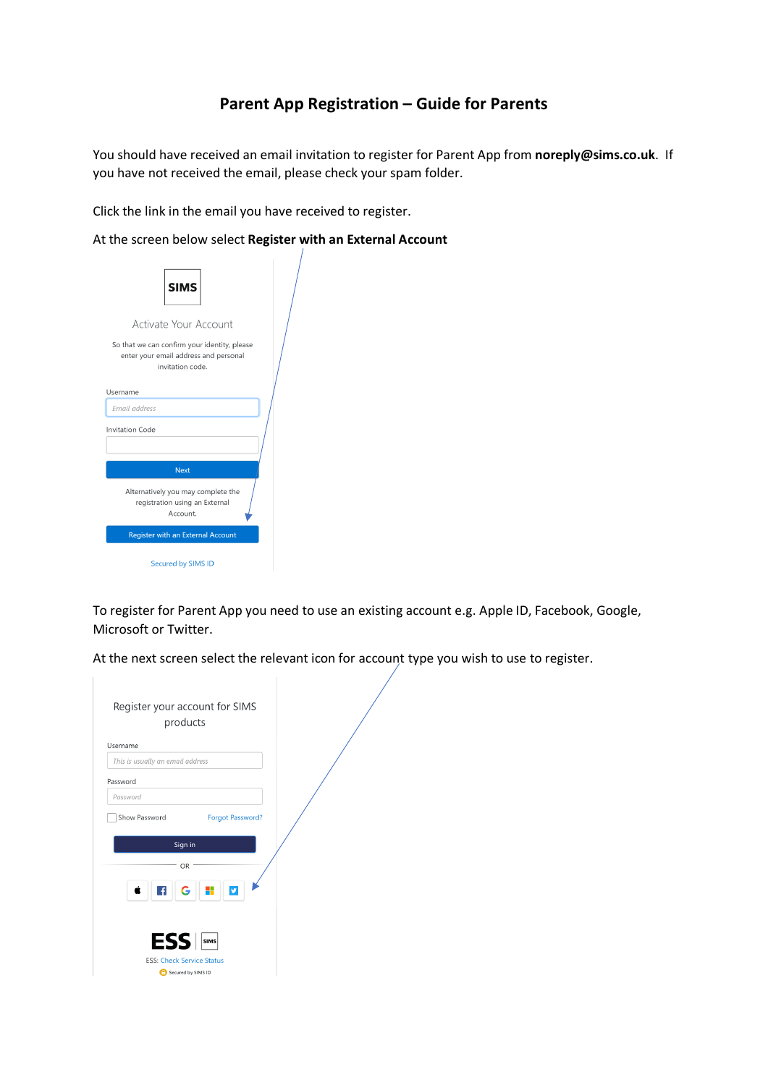## **Parent App Registration – Guide for Parents**

You should have received an email invitation to register for Parent App from **noreply@sims.co.uk**. If you have not received the email, please check your spam folder.

Click the link in the email you have received to register.

At the screen below select **Register with an External Account**

| <b>SIMS</b>                                                                                               |  |
|-----------------------------------------------------------------------------------------------------------|--|
| Activate Your Account                                                                                     |  |
| So that we can confirm your identity, please<br>enter your email address and personal<br>invitation code. |  |
| Username                                                                                                  |  |
| <i><b>Email address</b></i>                                                                               |  |
| <b>Invitation Code</b>                                                                                    |  |
| <b>Next</b>                                                                                               |  |
| Alternatively you may complete the<br>registration using an External<br>Account.                          |  |
| <b>Register with an External Account</b>                                                                  |  |
| <b>Secured by SIMS ID</b>                                                                                 |  |

To register for Parent App you need to use an existing account e.g. Apple ID, Facebook, Google, Microsoft or Twitter.

At the next screen select the relevant icon for account type you wish to use to register.

| Register your account for SIMS<br>products          |  |
|-----------------------------------------------------|--|
|                                                     |  |
| Username                                            |  |
| This is usually an email address                    |  |
| Password                                            |  |
| Password                                            |  |
| Show Password<br><b>Forgot Password?</b><br>Sign in |  |
| OR                                                  |  |
| $\overline{f}$<br>ÿ<br>G                            |  |
| <b>ESS</b>                                          |  |
| <b>ESS: Check Service Status</b>                    |  |
| Secured by SIMS ID                                  |  |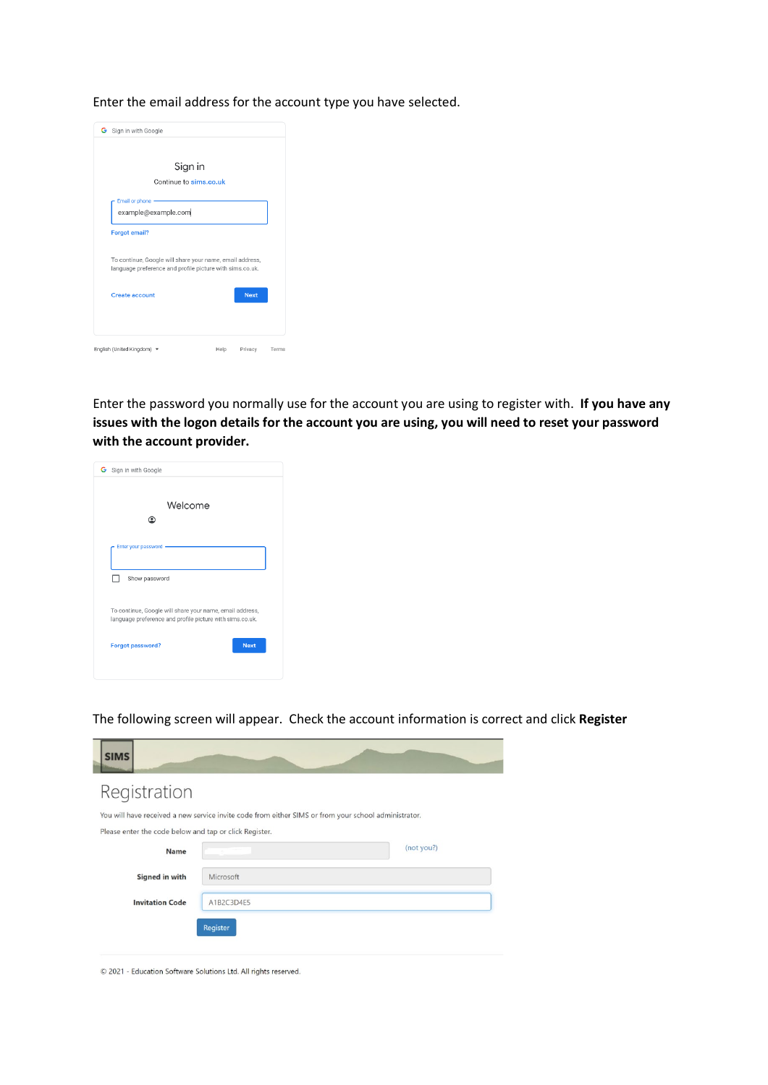Enter the email address for the account type you have selected.



Enter the password you normally use for the account you are using to register with. **If you have any issues with the logon details for the account you are using, you will need to reset your password with the account provider.**

| G Sign in with Google                                                                                                |
|----------------------------------------------------------------------------------------------------------------------|
| Welcome                                                                                                              |
|                                                                                                                      |
| Enter your password                                                                                                  |
| Show password                                                                                                        |
| To continue, Google will share your name, email address,<br>language preference and profile picture with sims.co.uk. |
| <b>Next</b><br>Forgot password?                                                                                      |
|                                                                                                                      |

The following screen will appear. Check the account information is correct and click **Register**

| <b>SIMS</b>                                            |                                                                                                      |            |
|--------------------------------------------------------|------------------------------------------------------------------------------------------------------|------------|
| Registration                                           |                                                                                                      |            |
|                                                        | You will have received a new service invite code from either SIMS or from your school administrator. |            |
| Please enter the code below and tap or click Register. |                                                                                                      |            |
| <b>Name</b>                                            |                                                                                                      | (not you?) |
| Signed in with                                         | Microsoft                                                                                            |            |
| <b>Invitation Code</b>                                 | A1B2C3D4E5                                                                                           |            |
|                                                        | Register                                                                                             |            |
|                                                        |                                                                                                      |            |

© 2021 - Education Software Solutions Ltd. All rights reserved.